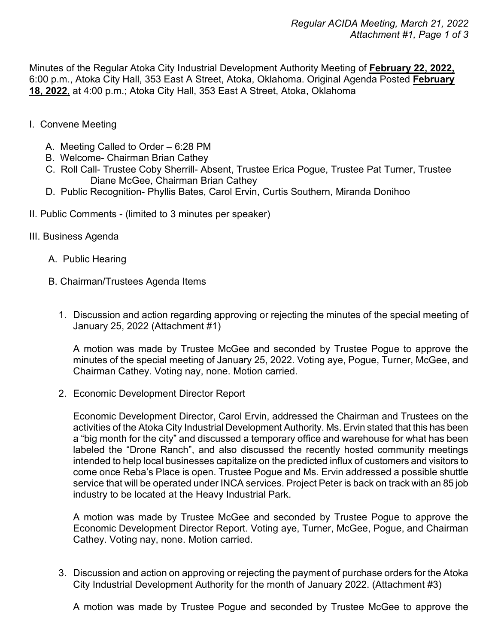Minutes of the Regular Atoka City Industrial Development Authority Meeting of **February 22, 2022,** 6:00 p.m., Atoka City Hall, 353 East A Street, Atoka, Oklahoma. Original Agenda Posted **February 18, 2022**, at 4:00 p.m.; Atoka City Hall, 353 East A Street, Atoka, Oklahoma

- I. Convene Meeting
	- A. Meeting Called to Order 6:28 PM
	- B. Welcome- Chairman Brian Cathey
	- C. Roll Call- Trustee Coby Sherrill- Absent, Trustee Erica Pogue, Trustee Pat Turner, Trustee Diane McGee, Chairman Brian Cathey
	- D. Public Recognition- Phyllis Bates, Carol Ervin, Curtis Southern, Miranda Donihoo
- II. Public Comments (limited to 3 minutes per speaker)
- III. Business Agenda
	- A. Public Hearing
	- B. Chairman/Trustees Agenda Items
		- 1. Discussion and action regarding approving or rejecting the minutes of the special meeting of January 25, 2022 (Attachment #1)

A motion was made by Trustee McGee and seconded by Trustee Pogue to approve the minutes of the special meeting of January 25, 2022. Voting aye, Pogue, Turner, McGee, and Chairman Cathey. Voting nay, none. Motion carried.

2. Economic Development Director Report

Economic Development Director, Carol Ervin, addressed the Chairman and Trustees on the activities of the Atoka City Industrial Development Authority. Ms. Ervin stated that this has been a "big month for the city" and discussed a temporary office and warehouse for what has been labeled the "Drone Ranch", and also discussed the recently hosted community meetings intended to help local businesses capitalize on the predicted influx of customers and visitors to come once Reba's Place is open. Trustee Pogue and Ms. Ervin addressed a possible shuttle service that will be operated under INCA services. Project Peter is back on track with an 85 job industry to be located at the Heavy Industrial Park.

A motion was made by Trustee McGee and seconded by Trustee Pogue to approve the Economic Development Director Report. Voting aye, Turner, McGee, Pogue, and Chairman Cathey. Voting nay, none. Motion carried.

3. Discussion and action on approving or rejecting the payment of purchase orders for the Atoka City Industrial Development Authority for the month of January 2022. (Attachment #3)

A motion was made by Trustee Pogue and seconded by Trustee McGee to approve the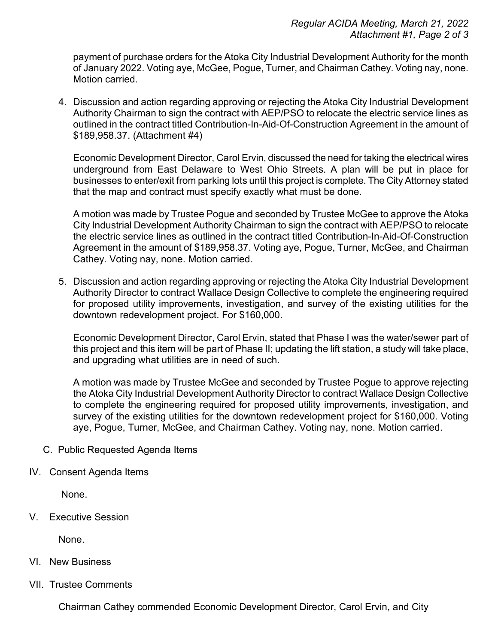payment of purchase orders for the Atoka City Industrial Development Authority for the month of January 2022. Voting aye, McGee, Pogue, Turner, and Chairman Cathey. Voting nay, none. Motion carried.

4. Discussion and action regarding approving or rejecting the Atoka City Industrial Development Authority Chairman to sign the contract with AEP/PSO to relocate the electric service lines as outlined in the contract titled Contribution-In-Aid-Of-Construction Agreement in the amount of \$189,958.37. (Attachment #4)

Economic Development Director, Carol Ervin, discussed the need for taking the electrical wires underground from East Delaware to West Ohio Streets. A plan will be put in place for businesses to enter/exit from parking lots until this project is complete. The City Attorney stated that the map and contract must specify exactly what must be done.

A motion was made by Trustee Pogue and seconded by Trustee McGee to approve the Atoka City Industrial Development Authority Chairman to sign the contract with AEP/PSO to relocate the electric service lines as outlined in the contract titled Contribution-In-Aid-Of-Construction Agreement in the amount of \$189,958.37. Voting aye, Pogue, Turner, McGee, and Chairman Cathey. Voting nay, none. Motion carried.

5. Discussion and action regarding approving or rejecting the Atoka City Industrial Development Authority Director to contract Wallace Design Collective to complete the engineering required for proposed utility improvements, investigation, and survey of the existing utilities for the downtown redevelopment project. For \$160,000.

Economic Development Director, Carol Ervin, stated that Phase I was the water/sewer part of this project and this item will be part of Phase II; updating the lift station, a study will take place, and upgrading what utilities are in need of such.

A motion was made by Trustee McGee and seconded by Trustee Pogue to approve rejecting the Atoka City Industrial Development Authority Director to contract Wallace Design Collective to complete the engineering required for proposed utility improvements, investigation, and survey of the existing utilities for the downtown redevelopment project for \$160,000. Voting aye, Pogue, Turner, McGee, and Chairman Cathey. Voting nay, none. Motion carried.

- C. Public Requested Agenda Items
- IV. Consent Agenda Items

None.

V. Executive Session

None.

- VI. New Business
- VII. Trustee Comments

Chairman Cathey commended Economic Development Director, Carol Ervin, and City